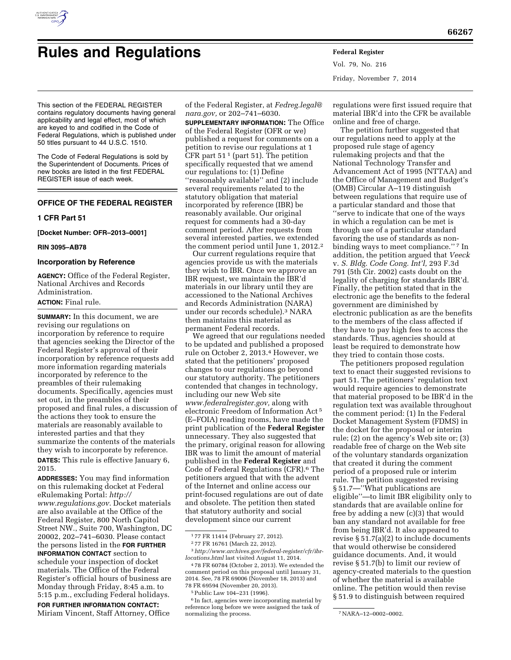

# **Rules and Regulations Federal Register**

Vol. 79, No. 216 Friday, November 7, 2014

This section of the FEDERAL REGISTER contains regulatory documents having general applicability and legal effect, most of which are keyed to and codified in the Code of Federal Regulations, which is published under 50 titles pursuant to 44 U.S.C. 1510.

The Code of Federal Regulations is sold by the Superintendent of Documents. Prices of new books are listed in the first FEDERAL REGISTER issue of each week.

# **OFFICE OF THE FEDERAL REGISTER**

#### **1 CFR Part 51**

**[Docket Number: OFR–2013–0001]** 

#### **RIN 3095–AB78**

# **Incorporation by Reference**

**AGENCY:** Office of the Federal Register, National Archives and Records Administration.

# **ACTION:** Final rule.

**SUMMARY:** In this document, we are revising our regulations on incorporation by reference to require that agencies seeking the Director of the Federal Register's approval of their incorporation by reference requests add more information regarding materials incorporated by reference to the preambles of their rulemaking documents. Specifically, agencies must set out, in the preambles of their proposed and final rules, a discussion of the actions they took to ensure the materials are reasonably available to interested parties and that they summarize the contents of the materials they wish to incorporate by reference. **DATES:** This rule is effective January 6, 2015.

**ADDRESSES:** You may find information on this rulemaking docket at Federal eRulemaking Portal: *[http://](http://www.regulations.gov) [www.regulations.gov.](http://www.regulations.gov)* Docket materials are also available at the Office of the Federal Register, 800 North Capitol Street NW., Suite 700, Washington, DC 20002, 202–741–6030. Please contact the persons listed in the **FOR FURTHER INFORMATION CONTACT** section to schedule your inspection of docket materials. The Office of the Federal Register's official hours of business are Monday through Friday, 8:45 a.m. to 5:15 p.m., excluding Federal holidays.

**FOR FURTHER INFORMATION CONTACT:**  Miriam Vincent, Staff Attorney, Office

of the Federal Register, at *[Fedreg.legal@](mailto:Fedreg.legal@nara.gov) [nara.gov,](mailto:Fedreg.legal@nara.gov)* or 202–741–6030.

**SUPPLEMENTARY INFORMATION:** The Office of the Federal Register (OFR or we) published a request for comments on a petition to revise our regulations at 1 CFR part  $51<sup>1</sup>$  (part 51). The petition specifically requested that we amend our regulations to: (1) Define ''reasonably available'' and (2) include several requirements related to the statutory obligation that material incorporated by reference (IBR) be reasonably available. Our original request for comments had a 30-day comment period. After requests from several interested parties, we extended the comment period until June 1, 2012.2

Our current regulations require that agencies provide us with the materials they wish to IBR. Once we approve an IBR request, we maintain the IBR'd materials in our library until they are accessioned to the National Archives and Records Administration (NARA) under our records schedule).3 NARA then maintains this material as permanent Federal records.

We agreed that our regulations needed to be updated and published a proposed rule on October 2, 2013.4 However, we stated that the petitioners' proposed changes to our regulations go beyond our statutory authority. The petitioners contended that changes in technology, including our new Web site *[www.federalregister.gov,](http://www.federalregister.gov)* along with electronic Freedom of Information Act 5 (E–FOIA) reading rooms, have made the print publication of the **Federal Register**  unnecessary. They also suggested that the primary, original reason for allowing IBR was to limit the amount of material published in the **Federal Register** and Code of Federal Regulations (CFR).6 The petitioners argued that with the advent of the Internet and online access our print-focused regulations are out of date and obsolete. The petition then stated that statutory authority and social development since our current

regulations were first issued require that material IBR'd into the CFR be available online and free of charge.

The petition further suggested that our regulations need to apply at the proposed rule stage of agency rulemaking projects and that the National Technology Transfer and Advancement Act of 1995 (NTTAA) and the Office of Management and Budget's (OMB) Circular A–119 distinguish between regulations that require use of a particular standard and those that ''serve to indicate that one of the ways in which a regulation can be met is through use of a particular standard favoring the use of standards as nonbinding ways to meet compliance."<sup>7</sup> In addition, the petition argued that *Veeck*  v. *S. Bldg. Code Cong. Int'l,* 293 F.3d 791 (5th Cir. 2002) casts doubt on the legality of charging for standards IBR'd. Finally, the petition stated that in the electronic age the benefits to the federal government are diminished by electronic publication as are the benefits to the members of the class affected if they have to pay high fees to access the standards. Thus, agencies should at least be required to demonstrate how they tried to contain those costs.

The petitioners proposed regulation text to enact their suggested revisions to part 51. The petitioners' regulation text would require agencies to demonstrate that material proposed to be IBR'd in the regulation text was available throughout the comment period: (1) In the Federal Docket Management System (FDMS) in the docket for the proposal or interim rule; (2) on the agency's Web site or; (3) readable free of charge on the Web site of the voluntary standards organization that created it during the comment period of a proposed rule or interim rule. The petition suggested revising § 51.7—''What publications are eligible''—to limit IBR eligibility only to standards that are available online for free by adding a new (c)(3) that would ban any standard not available for free from being IBR'd. It also appeared to revise § 51.7(a)(2) to include documents that would otherwise be considered guidance documents. And, it would revise § 51.7(b) to limit our review of agency-created materials to the question of whether the material is available online. The petition would then revise § 51.9 to distinguish between required

<sup>1</sup> 77 FR 11414 (February 27, 2012).

<sup>2</sup> 77 FR 16761 (March 22, 2012).

<sup>3</sup>*[http://www.archives.gov/federal-register/cfr/ibr](http://www.archives.gov/federal-register/cfr/ibr-locations.html)[locations.html](http://www.archives.gov/federal-register/cfr/ibr-locations.html)* last visited August 11, 2014.

<sup>4</sup> 78 FR 60784 (October 2, 2013). We extended the comment period on this proposal until January 31, 2014. See, 78 FR 69006 (November 18, 2013) and 78 FR 69594 (November 20, 2013).

<sup>5</sup>Public Law 104–231 (1996).

<sup>6</sup> In fact, agencies were incorporating material by reference long before we were assigned the task of normalizing the process.  $\nu$   $\overline{Y}$ NARA–12–0002–0002.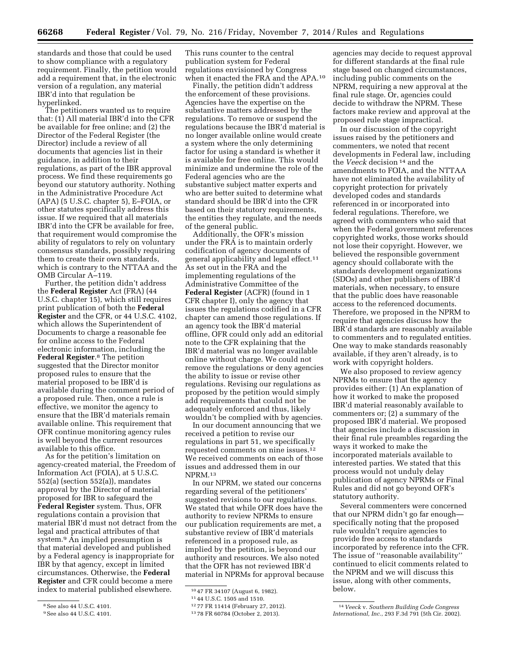standards and those that could be used to show compliance with a regulatory requirement. Finally, the petition would add a requirement that, in the electronic version of a regulation, any material IBR'd into that regulation be hyperlinked.

The petitioners wanted us to require that: (1) All material IBR'd into the CFR be available for free online; and (2) the Director of the Federal Register (the Director) include a review of all documents that agencies list in their guidance, in addition to their regulations, as part of the IBR approval process. We find these requirements go beyond our statutory authority. Nothing in the Administrative Procedure Act (APA) (5 U.S.C. chapter 5), E–FOIA, or other statutes specifically address this issue. If we required that all materials IBR'd into the CFR be available for free, that requirement would compromise the ability of regulators to rely on voluntary consensus standards, possibly requiring them to create their own standards, which is contrary to the NTTAA and the OMB Circular A–119.

Further, the petition didn't address the **Federal Register** Act (FRA) (44 U.S.C. chapter 15), which still requires print publication of both the **Federal Register** and the CFR, or 44 U.S.C. 4102, which allows the Superintendent of Documents to charge a reasonable fee for online access to the Federal electronic information, including the **Federal Register**.8 The petition suggested that the Director monitor proposed rules to ensure that the material proposed to be IBR'd is available during the comment period of a proposed rule. Then, once a rule is effective, we monitor the agency to ensure that the IBR'd materials remain available online. This requirement that OFR continue monitoring agency rules is well beyond the current resources available to this office.

As for the petition's limitation on agency-created material, the Freedom of Information Act (FOIA), at 5 U.S.C. 552(a) (section 552(a)), mandates approval by the Director of material proposed for IBR to safeguard the **Federal Register** system. Thus, OFR regulations contain a provision that material IBR'd must not detract from the legal and practical attributes of that system.9 An implied presumption is that material developed and published by a Federal agency is inappropriate for IBR by that agency, except in limited circumstances. Otherwise, the **Federal Register** and CFR could become a mere index to material published elsewhere.

This runs counter to the central publication system for Federal regulations envisioned by Congress when it enacted the FRA and the APA.10

Finally, the petition didn't address the enforcement of these provisions. Agencies have the expertise on the substantive matters addressed by the regulations. To remove or suspend the regulations because the IBR'd material is no longer available online would create a system where the only determining factor for using a standard is whether it is available for free online. This would minimize and undermine the role of the Federal agencies who are the substantive subject matter experts and who are better suited to determine what standard should be IBR'd into the CFR based on their statutory requirements, the entities they regulate, and the needs of the general public.

Additionally, the OFR's mission under the FRA is to maintain orderly codification of agency documents of general applicability and legal effect.<sup>11</sup> As set out in the FRA and the implementing regulations of the Administrative Committee of the **Federal Register** (ACFR) (found in 1 CFR chapter I), only the agency that issues the regulations codified in a CFR chapter can amend those regulations. If an agency took the IBR'd material offline, OFR could only add an editorial note to the CFR explaining that the IBR'd material was no longer available online without charge. We could not remove the regulations or deny agencies the ability to issue or revise other regulations. Revising our regulations as proposed by the petition would simply add requirements that could not be adequately enforced and thus, likely wouldn't be complied with by agencies.

In our document announcing that we received a petition to revise our regulations in part 51, we specifically requested comments on nine issues.12 We received comments on each of those issues and addressed them in our NPRM.13

In our NPRM, we stated our concerns regarding several of the petitioners' suggested revisions to our regulations. We stated that while OFR does have the authority to review NPRMs to ensure our publication requirements are met, a substantive review of IBR'd materials referenced in a proposed rule, as implied by the petition, is beyond our authority and resources. We also noted that the OFR has not reviewed IBR'd material in NPRMs for approval because

agencies may decide to request approval for different standards at the final rule stage based on changed circumstances, including public comments on the NPRM, requiring a new approval at the final rule stage. Or, agencies could decide to withdraw the NPRM. These factors make review and approval at the proposed rule stage impractical.

In our discussion of the copyright issues raised by the petitioners and commenters, we noted that recent developments in Federal law, including the *Veeck* decision 14 and the amendments to FOIA, and the NTTAA have not eliminated the availability of copyright protection for privately developed codes and standards referenced in or incorporated into federal regulations. Therefore, we agreed with commenters who said that when the Federal government references copyrighted works, those works should not lose their copyright. However, we believed the responsible government agency should collaborate with the standards development organizations (SDOs) and other publishers of IBR'd materials, when necessary, to ensure that the public does have reasonable access to the referenced documents. Therefore, we proposed in the NPRM to require that agencies discuss how the IBR'd standards are reasonably available to commenters and to regulated entities. One way to make standards reasonably available, if they aren't already, is to work with copyright holders.

We also proposed to review agency NPRMs to ensure that the agency provides either: (1) An explanation of how it worked to make the proposed IBR'd material reasonably available to commenters or; (2) a summary of the proposed IBR'd material. We proposed that agencies include a discussion in their final rule preambles regarding the ways it worked to make the incorporated materials available to interested parties. We stated that this process would not unduly delay publication of agency NPRMs or Final Rules and did not go beyond OFR's statutory authority.

Several commenters were concerned that our NPRM didn't go far enough specifically noting that the proposed rule wouldn't require agencies to provide free access to standards incorporated by reference into the CFR. The issue of ''reasonable availability'' continued to elicit comments related to the NPRM and we will discuss this issue, along with other comments, below.

<sup>8</sup>See also 44 U.S.C. 4101.

<sup>9</sup>See also 44 U.S.C. 4101.

<sup>10</sup> 47 FR 34107 (August 6, 1982).

<sup>11</sup> 44 U.S.C. 1505 and 1510.

<sup>12</sup> 77 FR 11414 (February 27, 2012).

<sup>13</sup> 78 FR 60784 (October 2, 2013).

<sup>14</sup> *Veeck* v. *Southern Building Code Congress International, Inc.*, 293 F.3d 791 (5th Cir. 2002).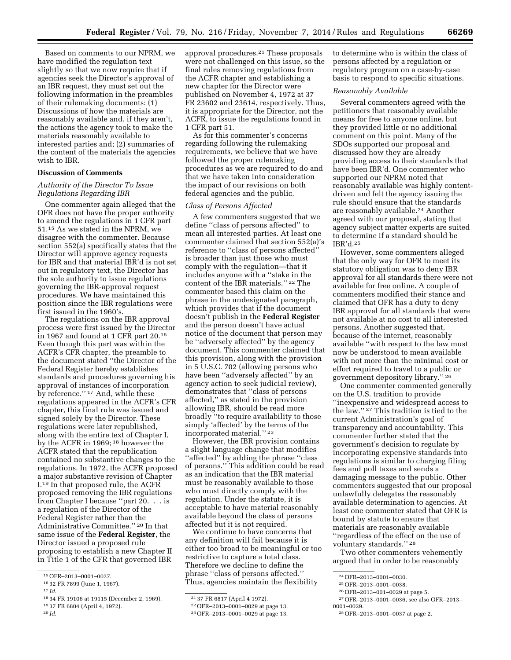Based on comments to our NPRM, we have modified the regulation text slightly so that we now require that if agencies seek the Director's approval of an IBR request, they must set out the following information in the preambles of their rulemaking documents: (1) Discussions of how the materials are reasonably available and, if they aren't, the actions the agency took to make the materials reasonably available to interested parties and; (2) summaries of the content of the materials the agencies wish to IBR.

# **Discussion of Comments**

# *Authority of the Director To Issue Regulations Regarding IBR*

One commenter again alleged that the OFR does not have the proper authority to amend the regulations in 1 CFR part 51.15 As we stated in the NPRM, we disagree with the commenter. Because section 552(a) specifically states that the Director will approve agency requests for IBR and that material IBR'd is not set out in regulatory text, the Director has the sole authority to issue regulations governing the IBR-approval request procedures. We have maintained this position since the IBR regulations were first issued in the 1960's.

The regulations on the IBR approval process were first issued by the Director in 1967 and found at 1 CFR part 20.16 Even though this part was within the ACFR's CFR chapter, the preamble to the document stated ''the Director of the Federal Register hereby establishes standards and procedures governing his approval of instances of incorporation by reference.'' 17 And, while these regulations appeared in the ACFR's CFR chapter, this final rule was issued and signed solely by the Director. These regulations were later republished, along with the entire text of Chapter I, by the ACFR in 1969; 18 however the ACFR stated that the republication contained no substantive changes to the regulations. In 1972, the ACFR proposed a major substantive revision of Chapter I.19 In that proposed rule, the ACFR proposed removing the IBR regulations from Chapter I because ''part 20. . . is a regulation of the Director of the Federal Register rather than the Administrative Committee.'' 20 In that same issue of the **Federal Register**, the Director issued a proposed rule proposing to establish a new Chapter II in Title 1 of the CFR that governed IBR

20 *Id.* 

approval procedures.21 These proposals were not challenged on this issue, so the final rules removing regulations from the ACFR chapter and establishing a new chapter for the Director were published on November 4, 1972 at 37 FR 23602 and 23614, respectively. Thus, it is appropriate for the Director, not the ACFR, to issue the regulations found in 1 CFR part 51.

As for this commenter's concerns regarding following the rulemaking requirements, we believe that we have followed the proper rulemaking procedures as we are required to do and that we have taken into consideration the impact of our revisions on both federal agencies and the public.

# *Class of Persons Affected*

A few commenters suggested that we define ''class of persons affected'' to mean all interested parties. At least one commenter claimed that section 552(a)'s reference to ''class of persons affected'' is broader than just those who must comply with the regulation—that it includes anyone with a ''stake in the content of the IBR materials.'' 22 The commenter based this claim on the phrase in the undesignated paragraph, which provides that if the document doesn't publish in the **Federal Register**  and the person doesn't have actual notice of the document that person may be ''adversely affected'' by the agency document. This commenter claimed that this provision, along with the provision in 5 U.S.C. 702 (allowing persons who have been ''adversely affected'' by an agency action to seek judicial review), demonstrates that ''class of persons affected,'' as stated in the provision allowing IBR, should be read more broadly ''to require availability to those simply 'affected' by the terms of the incorporated material.'' 23

However, the IBR provision contains a slight language change that modifies "affected" by adding the phrase "class of persons.'' This addition could be read as an indication that the IBR material must be reasonably available to those who must directly comply with the regulation. Under the statute, it is acceptable to have material reasonably available beyond the class of persons affected but it is not required.

We continue to have concerns that any definition will fail because it is either too broad to be meaningful or too restrictive to capture a total class. Therefore we decline to define the phrase ''class of persons affected.'' Thus, agencies maintain the flexibility

to determine who is within the class of persons affected by a regulation or regulatory program on a case-by-case basis to respond to specific situations.

# *Reasonably Available*

Several commenters agreed with the petitioners that reasonably available means for free to anyone online, but they provided little or no additional comment on this point. Many of the SDOs supported our proposal and discussed how they are already providing access to their standards that have been IBR'd. One commenter who supported our NPRM noted that reasonably available was highly contentdriven and felt the agency issuing the rule should ensure that the standards are reasonably available.<sup>24</sup> Another agreed with our proposal, stating that agency subject matter experts are suited to determine if a standard should be IBR'd.25

However, some commenters alleged that the only way for OFR to meet its statutory obligation was to deny IBR approval for all standards there were not available for free online. A couple of commenters modified their stance and claimed that OFR has a duty to deny IBR approval for all standards that were not available at no cost to all interested persons. Another suggested that, because of the internet, reasonably available ''with respect to the law must now be understood to mean available with not more than the minimal cost or effort required to travel to a public or government depository library.'' 26

One commenter commented generally on the U.S. tradition to provide ''inexpensive and widespread access to the law.'' 27 This tradition is tied to the current Administration's goal of transparency and accountability. This commenter further stated that the government's decision to regulate by incorporating expensive standards into regulations is similar to charging filing fees and poll taxes and sends a damaging message to the public. Other commenters suggested that our proposal unlawfully delegates the reasonably available determination to agencies. At least one commenter stated that OFR is bound by statute to ensure that materials are reasonably available ''regardless of the effect on the use of voluntary standards.'' 28

Two other commenters vehemently argued that in order to be reasonably

27OFR–2013–0001–0036, see also OFR–2013– 0001–0029.

<sup>15</sup>OFR–2013–0001–0027.

<sup>16</sup> 32 FR 7899 (June 1, 1967).

<sup>17</sup> *Id.* 

<sup>18</sup> 34 FR 19106 at 19115 (December 2, 1969). 19 37 FR 6804 (April 4, 1972).

<sup>21</sup> 37 FR 6817 (April 4 1972).

<sup>22</sup>OFR–2013–0001–0029 at page 13.

<sup>23</sup>OFR–2013–0001–0029 at page 13.

<sup>24</sup>OFR–2013–0001–0030.

<sup>25</sup>OFR–2013–0001–0038.

<sup>26</sup>OFR–2013–001–0029 at page 5.

<sup>28</sup>OFR–2013–0001–0037 at page 2.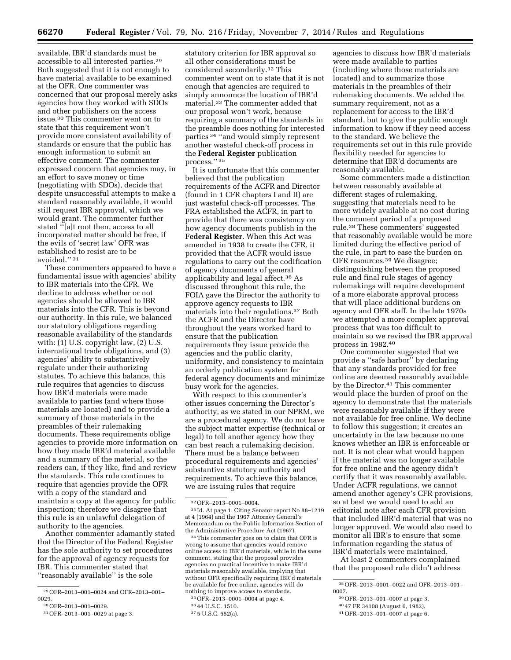available, IBR'd standards must be accessible to all interested parties.29 Both suggested that it is not enough to have material available to be examined at the OFR. One commenter was concerned that our proposal merely asks agencies how they worked with SDOs and other publishers on the access issue.30 This commenter went on to state that this requirement won't provide more consistent availability of standards or ensure that the public has enough information to submit an effective comment. The commenter expressed concern that agencies may, in an effort to save money or time (negotiating with SDOs), decide that despite unsuccessful attempts to make a standard reasonably available, it would still request IBR approval, which we would grant. The commenter further stated ''[a]t root then, access to all incorporated matter should be free, if the evils of 'secret law' OFR was established to resist are to be avoided.'' 31

These commenters appeared to have a fundamental issue with agencies' ability to IBR materials into the CFR. We decline to address whether or not agencies should be allowed to IBR materials into the CFR. This is beyond our authority. In this rule, we balanced our statutory obligations regarding reasonable availability of the standards with: (1) U.S. copyright law, (2) U.S. international trade obligations, and (3) agencies' ability to substantively regulate under their authorizing statutes. To achieve this balance, this rule requires that agencies to discuss how IBR'd materials were made available to parties (and where those materials are located) and to provide a summary of those materials in the preambles of their rulemaking documents. These requirements oblige agencies to provide more information on how they made IBR'd material available and a summary of the material, so the readers can, if they like, find and review the standards. This rule continues to require that agencies provide the OFR with a copy of the standard and maintain a copy at the agency for public inspection; therefore we disagree that this rule is an unlawful delegation of authority to the agencies.

Another commenter adamantly stated that the Director of the Federal Register has the sole authority to set procedures for the approval of agency requests for IBR. This commenter stated that ''reasonably available'' is the sole

statutory criterion for IBR approval so all other considerations must be considered secondarily.32 This commenter went on to state that it is not enough that agencies are required to simply announce the location of IBR'd material.33 The commenter added that our proposal won't work, because requiring a summary of the standards in the preamble does nothing for interested parties 34 ''and would simply represent another wasteful check-off process in the **Federal Register** publication process.'' 35

It is unfortunate that this commenter believed that the publication requirements of the ACFR and Director (found in 1 CFR chapters I and II) are just wasteful check-off processes. The FRA established the ACFR, in part to provide that there was consistency on how agency documents publish in the **Federal Register**. When this Act was amended in 1938 to create the CFR, it provided that the ACFR would issue regulations to carry out the codification of agency documents of general applicability and legal affect.36 As discussed throughout this rule, the FOIA gave the Director the authority to approve agency requests to IBR materials into their regulations.37 Both the ACFR and the Director have throughout the years worked hard to ensure that the publication requirements they issue provide the agencies and the public clarity, uniformity, and consistency to maintain an orderly publication system for federal agency documents and minimize busy work for the agencies.

With respect to this commenter's other issues concerning the Director's authority, as we stated in our NPRM, we are a procedural agency. We do not have the subject matter expertise (technical or legal) to tell another agency how they can best reach a rulemaking decision. There must be a balance between procedural requirements and agencies' substantive statutory authority and requirements. To achieve this balance, we are issuing rules that require

34This commenter goes on to claim that OFR is wrong to assume that agencies would remove online access to IBR'd materials, while in the same comment, stating that the proposal provides agencies no practical incentive to make IBR'd materials reasonably available, implying that without OFR specifically requiring IBR'd materials be available for free online, agencies will do nothing to improve access to standards.

agencies to discuss how IBR'd materials were made available to parties (including where those materials are located) and to summarize those materials in the preambles of their rulemaking documents. We added the summary requirement, not as a replacement for access to the IBR'd standard, but to give the public enough information to know if they need access to the standard. We believe the requirements set out in this rule provide flexibility needed for agencies to determine that IBR'd documents are reasonably available.

Some commenters made a distinction between reasonably available at different stages of rulemaking, suggesting that materials need to be more widely available at no cost during the comment period of a proposed rule.38 These commenters' suggested that reasonably available would be more limited during the effective period of the rule, in part to ease the burden on OFR resources.39 We disagree; distinguishing between the proposed rule and final rule stages of agency rulemakings will require development of a more elaborate approval process that will place additional burdens on agency and OFR staff. In the late 1970s we attempted a more complex approval process that was too difficult to maintain so we revised the IBR approval process in 1982.40

One commenter suggested that we provide a ''safe harbor'' by declaring that any standards provided for free online are deemed reasonably available by the Director.41 This commenter would place the burden of proof on the agency to demonstrate that the materials were reasonably available if they were not available for free online. We decline to follow this suggestion; it creates an uncertainty in the law because no one knows whether an IBR is enforceable or not. It is not clear what would happen if the material was no longer available for free online and the agency didn't certify that it was reasonably available. Under ACFR regulations, we cannot amend another agency's CFR provisions, so at best we would need to add an editorial note after each CFR provision that included IBR'd material that was no longer approved. We would also need to monitor all IBR's to ensure that some information regarding the status of IBR'd materials were maintained.

At least 2 commenters complained that the proposed rule didn't address

<sup>29</sup>OFR–2013–001–0024 and OFR–2013–001– 0029.

<sup>30</sup>OFR–2013–001–0029.

<sup>31</sup>OFR–2013–001–0029 at page 3.

<sup>32</sup>OFR–2013–0001–0004.

<sup>33</sup> Id. At page 1. Citing Senator report No 88–1219 at 4 (1964) and the 1967 Attorney General's Memorandum on the Public Information Section of the Administrative Procedure Act (1967).

<sup>35</sup>OFR–2013–0001–0004 at page 4.

<sup>36</sup> 44 U.S.C. 1510.

<sup>37</sup> 5 U.S.C. 552(a).

<sup>38</sup>OFR–2013–0001–0022 and OFR–2013–001– 0007.

<sup>39</sup>OFR–2013–001–0007 at page 3.

<sup>40</sup> 47 FR 34108 (August 6, 1982).

<sup>41</sup>OFR–2013–001–0007 at page 6.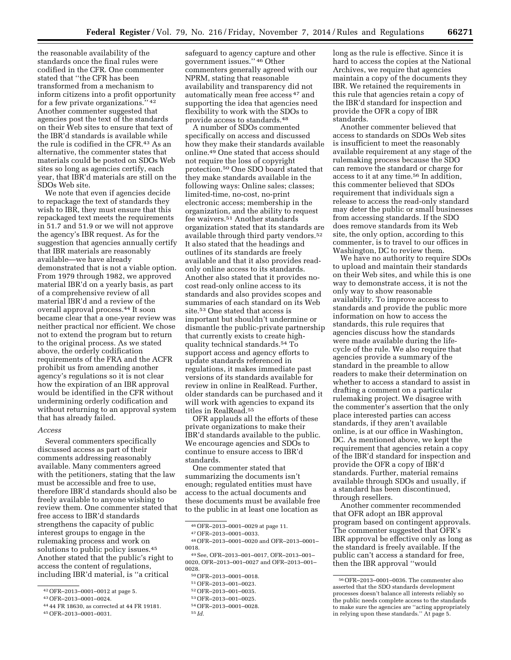the reasonable availability of the standards once the final rules were codified in the CFR. One commenter stated that ''the CFR has been transformed from a mechanism to inform citizens into a profit opportunity for a few private organizations.'' 42 Another commenter suggested that agencies post the text of the standards on their Web sites to ensure that text of the IBR'd standards is available while the rule is codified in the CFR.43 As an alternative, the commenter states that materials could be posted on SDOs Web sites so long as agencies certify, each year, that IBR'd materials are still on the SDOs Web site.

We note that even if agencies decide to repackage the text of standards they wish to IBR, they must ensure that this repackaged text meets the requirements in 51.7 and 51.9 or we will not approve the agency's IBR request. As for the suggestion that agencies annually certify that IBR materials are reasonably available—we have already demonstrated that is not a viable option. From 1979 through 1982, we approved material IBR'd on a yearly basis, as part of a comprehensive review of all material IBR'd and a review of the overall approval process.44 It soon became clear that a one-year review was neither practical nor efficient. We chose not to extend the program but to return to the original process. As we stated above, the orderly codification requirements of the FRA and the ACFR prohibit us from amending another agency's regulations so it is not clear how the expiration of an IBR approval would be identified in the CFR without undermining orderly codification and without returning to an approval system that has already failed.

#### *Access*

Several commenters specifically discussed access as part of their comments addressing reasonably available. Many commenters agreed with the petitioners, stating that the law must be accessible and free to use, therefore IBR'd standards should also be freely available to anyone wishing to review them. One commenter stated that free access to IBR'd standards strengthens the capacity of public interest groups to engage in the rulemaking process and work on solutions to public policy issues.<sup>45</sup> Another stated that the public's right to access the content of regulations, including IBR'd material, is ''a critical

- 44 44 FR 18630, as corrected at 44 FR 19181.
- 45OFR–2013–0001–0031.

safeguard to agency capture and other government issues.'' 46 Other commenters generally agreed with our NPRM, stating that reasonable availability and transparency did not automatically mean free access 47 and supporting the idea that agencies need flexibility to work with the SDOs to provide access to standards.48

A number of SDOs commented specifically on access and discussed how they make their standards available online.49 One stated that access should not require the loss of copyright protection.50 One SDO board stated that they make standards available in the following ways: Online sales; classes; limited-time, no-cost, no-print electronic access; membership in the organization, and the ability to request fee waivers.51 Another standards organization stated that its standards are available through third party vendors.52 It also stated that the headings and outlines of its standards are freely available and that it also provides readonly online access to its standards. Another also stated that it provides nocost read-only online access to its standards and also provides scopes and summaries of each standard on its Web site.53 One stated that access is important but shouldn't undermine or dismantle the public-private partnership that currently exists to create highquality technical standards.54 To support access and agency efforts to update standards referenced in regulations, it makes immediate past versions of its standards available for review in online in RealRead. Further, older standards can be purchased and it will work with agencies to expand its titles in RealRead.55

OFR applauds all the efforts of these private organizations to make their IBR'd standards available to the public. We encourage agencies and SDOs to continue to ensure access to IBR'd standards.

One commenter stated that summarizing the documents isn't enough; regulated entities must have access to the actual documents and these documents must be available free to the public in at least one location as

- 52OFR–2013–001–0035.
- 53OFR–2013–001–0025.
- 54OFR–2013–0001–0028.
- 55 *Id.*

long as the rule is effective. Since it is hard to access the copies at the National Archives, we require that agencies maintain a copy of the documents they IBR. We retained the requirements in this rule that agencies retain a copy of the IBR'd standard for inspection and provide the OFR a copy of IBR standards.

Another commenter believed that access to standards on SDOs Web sites is insufficient to meet the reasonably available requirement at any stage of the rulemaking process because the SDO can remove the standard or charge for access to it at any time.56 In addition, this commenter believed that SDOs requirement that individuals sign a release to access the read-only standard may deter the public or small businesses from accessing standards. If the SDO does remove standards from its Web site, the only option, according to this commenter, is to travel to our offices in Washington, DC to review them.

We have no authority to require SDOs to upload and maintain their standards on their Web sites, and while this is one way to demonstrate access, it is not the only way to show reasonable availability. To improve access to standards and provide the public more information on how to access the standards, this rule requires that agencies discuss how the standards were made available during the lifecycle of the rule. We also require that agencies provide a summary of the standard in the preamble to allow readers to make their determination on whether to access a standard to assist in drafting a comment on a particular rulemaking project. We disagree with the commenter's assertion that the only place interested parties can access standards, if they aren't available online, is at our office in Washington, DC. As mentioned above, we kept the requirement that agencies retain a copy of the IBR'd standard for inspection and provide the OFR a copy of IBR'd standards. Further, material remains available through SDOs and usually, if a standard has been discontinued, through resellers.

Another commenter recommended that OFR adopt an IBR approval program based on contingent approvals. The commenter suggested that OFR's IBR approval be effective only as long as the standard is freely available. If the public can't access a standard for free, then the IBR approval ''would

<sup>42</sup>OFR–2013–0001–0012 at page 5.

<sup>43</sup>OFR–2013–0001–0024.

<sup>46</sup>OFR–2013–0001–0029 at page 11.

<sup>47</sup>OFR–2013–0001–0033.

<sup>48</sup>OFR–2013–0001–0020 and OFR–2013–0001– 0018.

<sup>49</sup>See, OFR–2013–001–0017, OFR–2013–001– 0020, OFR–2013–001–0027 and OFR–2013–001– 0028.

<sup>50</sup>OFR–2013–0001–0018.

<sup>51</sup>OFR–2013–001–0023.

<sup>56</sup>OFR–2013–0001–0036. The commenter also asserted that the SDO standards development processes doesn't balance all interests reliably so the public needs complete access to the standards to make sure the agencies are ''acting appropriately in relying upon these standards.'' At page 5.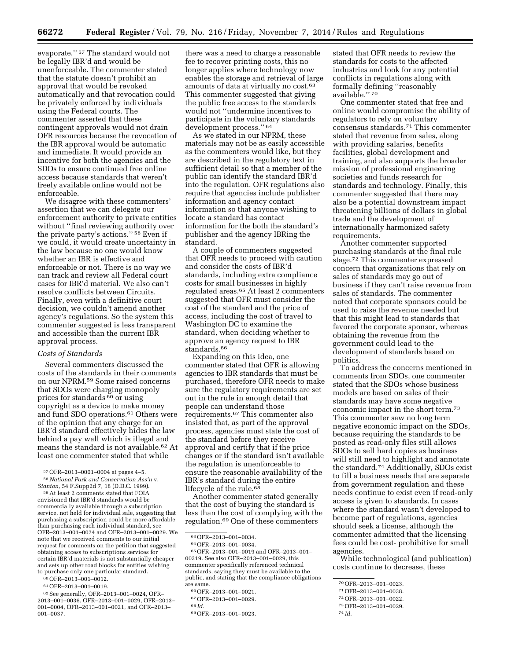evaporate.'' 57 The standard would not be legally IBR'd and would be unenforceable. The commenter stated that the statute doesn't prohibit an approval that would be revoked automatically and that revocation could be privately enforced by individuals using the Federal courts. The commenter asserted that these contingent approvals would not drain OFR resources because the revocation of the IBR approval would be automatic and immediate. It would provide an incentive for both the agencies and the SDOs to ensure continued free online access because standards that weren't freely available online would not be enforceable.

We disagree with these commenters' assertion that we can delegate our enforcement authority to private entities without ''final reviewing authority over the private party's actions.'' 58 Even if we could, it would create uncertainty in the law because no one would know whether an IBR is effective and enforceable or not. There is no way we can track and review all Federal court cases for IBR'd material. We also can't resolve conflicts between Circuits. Finally, even with a definitive court decision, we couldn't amend another agency's regulations. So the system this commenter suggested is less transparent and accessible than the current IBR approval process.

#### *Costs of Standards*

Several commenters discussed the costs of the standards in their comments on our NPRM.59 Some raised concerns that SDOs were charging monopoly prices for standards 60 or using copyright as a device to make money and fund SDO operations.61 Others were of the opinion that any charge for an IBR'd standard effectively hides the law behind a pay wall which is illegal and means the standard is not available.62 At least one commenter stated that while

*Stanton,* 54 F.Supp2d 7, 18 (D.D.C. 1999). 59At least 2 comments stated that FOIA

envisioned that IBR'd standards would be commercially available through a subscription service, not held for individual sale, suggesting that purchasing a subscription could be more affordable than purchasing each individual standard, see OFR–2013–001–0024 and OFR–2013–001–0029. We note that we received comments to our initial request for comments on the petition that suggested obtaining access to subscriptions services for certain IBR'd materials is not substantially cheaper and sets up other road blocks for entities wishing to purchase only one particular standard.

61OFR–2013–001–0019.

62See generally, OFR–2013–001–0024, OFR– 2013–001–0036, OFR–2013–001–0029, OFR–2013– 001–0004, OFR–2013–001–0021, and OFR–2013– 001–0037.

there was a need to charge a reasonable fee to recover printing costs, this no longer applies where technology now enables the storage and retrieval of large amounts of data at virtually no cost.63 This commenter suggested that giving the public free access to the standards would not ''undermine incentives to participate in the voluntary standards development process.'' 64

As we stated in our NPRM, these materials may not be as easily accessible as the commenters would like, but they are described in the regulatory text in sufficient detail so that a member of the public can identify the standard IBR'd into the regulation. OFR regulations also require that agencies include publisher information and agency contact information so that anyone wishing to locate a standard has contact information for the both the standard's publisher and the agency IBRing the standard.

A couple of commenters suggested that OFR needs to proceed with caution and consider the costs of IBR'd standards, including extra compliance costs for small businesses in highly regulated areas.65 At least 2 commenters suggested that OFR must consider the cost of the standard and the price of access, including the cost of travel to Washington DC to examine the standard, when deciding whether to approve an agency request to IBR standards.66

Expanding on this idea, one commenter stated that OFR is allowing agencies to IBR standards that must be purchased, therefore OFR needs to make sure the regulatory requirements are set out in the rule in enough detail that people can understand those requirements.67 This commenter also insisted that, as part of the approval process, agencies must state the cost of the standard before they receive approval and certify that if the price changes or if the standard isn't available the regulation is unenforceable to ensure the reasonable availability of the IBR's standard during the entire lifecycle of the rule.<sup>68</sup>

Another commenter stated generally that the cost of buying the standard is less than the cost of complying with the regulation.69 One of these commenters

<sup>63</sup> OFR–2013–001–0034.<br><sup>64</sup> OFR–2013–001–0034.<br><sup>65</sup> OFR–2013–001–0019 and OFR–2013–001– 00319. See also OFR–2013–001–0029, this commenter specifically referenced technical standards, saying they must be available to the public, and stating that the compliance obligations

stated that OFR needs to review the standards for costs to the affected industries and look for any potential conflicts in regulations along with formally defining ''reasonably available.'' 70

One commenter stated that free and online would compromise the ability of regulators to rely on voluntary consensus standards.71 This commenter stated that revenue from sales, along with providing salaries, benefits facilities, global development and training, and also supports the broader mission of professional engineering societies and funds research for standards and technology. Finally, this commenter suggested that there may also be a potential downstream impact threatening billions of dollars in global trade and the development of internationally harmonized safety requirements.

Another commenter supported purchasing standards at the final rule stage.<sup>72</sup> This commenter expressed concern that organizations that rely on sales of standards may go out of business if they can't raise revenue from sales of standards. The commenter noted that corporate sponsors could be used to raise the revenue needed but that this might lead to standards that favored the corporate sponsor, whereas obtaining the revenue from the government could lead to the development of standards based on politics.

To address the concerns mentioned in comments from SDOs, one commenter stated that the SDOs whose business models are based on sales of their standards may have some negative economic impact in the short term.73 This commenter saw no long term negative economic impact on the SDOs, because requiring the standards to be posted as read-only files still allows SDOs to sell hard copies as business will still need to highlight and annotate the standard.74 Additionally, SDOs exist to fill a business needs that are separate from government regulation and these needs continue to exist even if read-only access is given to standards. In cases where the standard wasn't developed to become part of regulations, agencies should seek a license, although the commenter admitted that the licensing fees could be cost- prohibitive for small agencies.

While technological (and publication) costs continue to decrease, these

<sup>57</sup>OFR–2013–0001–0004 at pages 4–5. 58*National Park and Conservation Ass'n* v.

<sup>60</sup>OFR–2013–001–0012.

<sup>66</sup> OFR–2013–001–0021.<br><sup>67</sup> OFR–2013–001–0029. <sup>68 *Id*</sup>

<sup>69</sup>OFR–2013–001–0023.

<sup>70</sup>OFR–2013–001–0023.

<sup>71</sup>OFR–2013–001–0038.

<sup>72</sup>OFR–2013–001–0022.

<sup>73</sup>OFR–2013–001–0029.

<sup>74</sup> *Id.*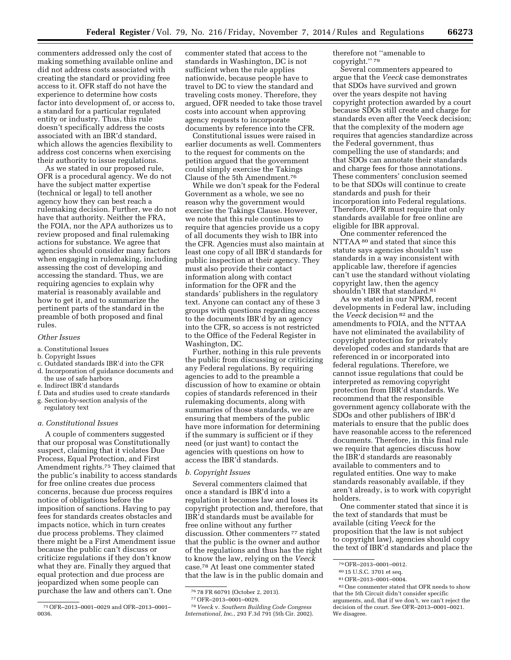commenters addressed only the cost of making something available online and did not address costs associated with creating the standard or providing free access to it. OFR staff do not have the experience to determine how costs factor into development of, or access to, a standard for a particular regulated entity or industry. Thus, this rule doesn't specifically address the costs associated with an IBR'd standard, which allows the agencies flexibility to address cost concerns when exercising their authority to issue regulations.

As we stated in our proposed rule, OFR is a procedural agency. We do not have the subject matter expertise (technical or legal) to tell another agency how they can best reach a rulemaking decision. Further, we do not have that authority. Neither the FRA, the FOIA, nor the APA authorizes us to review proposed and final rulemaking actions for substance. We agree that agencies should consider many factors when engaging in rulemaking, including assessing the cost of developing and accessing the standard. Thus, we are requiring agencies to explain why material is reasonably available and how to get it, and to summarize the pertinent parts of the standard in the preamble of both proposed and final rules.

#### *Other Issues*

a. Constitutional Issues

#### b. Copyright Issues

- c. Outdated standards IBR'd into the CFR d. Incorporation of guidance documents and the use of safe harbors
- e. Indirect IBR'd standards
- f. Data and studies used to create standards
- g. Section-by-section analysis of the regulatory text

#### *a. Constitutional Issues*

A couple of commenters suggested that our proposal was Constitutionally suspect, claiming that it violates Due Process, Equal Protection, and First Amendment rights.75 They claimed that the public's inability to access standards for free online creates due process concerns, because due process requires notice of obligations before the imposition of sanctions. Having to pay fees for standards creates obstacles and impacts notice, which in turn creates due process problems. They claimed there might be a First Amendment issue because the public can't discuss or criticize regulations if they don't know what they are. Finally they argued that equal protection and due process are jeopardized when some people can purchase the law and others can't. One

commenter stated that access to the standards in Washington, DC is not sufficient when the rule applies nationwide, because people have to travel to DC to view the standard and traveling costs money. Therefore, they argued, OFR needed to take those travel costs into account when approving agency requests to incorporate documents by reference into the CFR.

Constitutional issues were raised in earlier documents as well. Commenters to the request for comments on the petition argued that the government could simply exercise the Takings Clause of the 5th Amendment.76

While we don't speak for the Federal Government as a whole, we see no reason why the government would exercise the Takings Clause. However, we note that this rule continues to require that agencies provide us a copy of all documents they wish to IBR into the CFR. Agencies must also maintain at least one copy of all IBR'd standards for public inspection at their agency. They must also provide their contact information along with contact information for the OFR and the standards' publishers in the regulatory text. Anyone can contact any of these 3 groups with questions regarding access to the documents IBR'd by an agency into the CFR, so access is not restricted to the Office of the Federal Register in Washington, DC.

Further, nothing in this rule prevents the public from discussing or criticizing any Federal regulations. By requiring agencies to add to the preamble a discussion of how to examine or obtain copies of standards referenced in their rulemaking documents, along with summaries of those standards, we are ensuring that members of the public have more information for determining if the summary is sufficient or if they need (or just want) to contact the agencies with questions on how to access the IBR'd standards.

#### *b. Copyright Issues*

Several commenters claimed that once a standard is IBR'd into a regulation it becomes law and loses its copyright protection and, therefore, that IBR'd standards must be available for free online without any further discussion. Other commenters 77 stated that the public is the owner and author of the regulations and thus has the right to know the law, relying on the *Veeck*  case.78 At least one commenter stated that the law is in the public domain and therefore not ''amenable to copyright.'' 79

Several commenters appeared to argue that the *Veeck* case demonstrates that SDOs have survived and grown over the years despite not having copyright protection awarded by a court because SDOs still create and charge for standards even after the Veeck decision; that the complexity of the modern age requires that agencies standardize across the Federal government, thus compelling the use of standards; and that SDOs can annotate their standards and charge fees for those annotations. These commenters' conclusion seemed to be that SDOs will continue to create standards and push for their incorporation into Federal regulations. Therefore, OFR must require that only standards available for free online are eligible for IBR approval.

One commenter referenced the NTTAA 80 and stated that since this statute says agencies shouldn't use standards in a way inconsistent with applicable law, therefore if agencies can't use the standard without violating copyright law, then the agency shouldn't IBR that standard.<sup>81</sup>

As we stated in our NPRM, recent developments in Federal law, including the *Veeck* decision 82 and the amendments to FOIA, and the NTTAA have not eliminated the availability of copyright protection for privately developed codes and standards that are referenced in or incorporated into federal regulations. Therefore, we cannot issue regulations that could be interpreted as removing copyright protection from IBR'd standards. We recommend that the responsible government agency collaborate with the SDOs and other publishers of IBR'd materials to ensure that the public does have reasonable access to the referenced documents. Therefore, in this final rule we require that agencies discuss how the IBR'd standards are reasonably available to commenters and to regulated entities. One way to make standards reasonably available, if they aren't already, is to work with copyright holders.

One commenter stated that since it is the text of standards that must be available (citing *Veeck* for the proposition that the law is not subject to copyright law), agencies should copy the text of IBR'd standards and place the

<sup>75</sup>OFR–2013–0001–0029 and OFR–2013–0001– 0036.

<sup>76</sup> 78 FR 60791 (October 2, 2013).

<sup>77</sup>OFR–2013–0001–0029.

<sup>78</sup> *Veeck* v. *Southern Building Code Congress International, In*c., 293 F.3d 791 (5th Cir. 2002).

<sup>79</sup>OFR–2013–0001–0012.

<sup>80</sup> 15 U.S.C. 3701 et seq.

<sup>81</sup>OFR–2013–0001–0004.

<sup>82</sup>One commenter stated that OFR needs to show that the 5th Circuit didn't consider specific arguments, and, that if we don't, we can't reject the decision of the court. See OFR–2013–0001–0021. We disagree.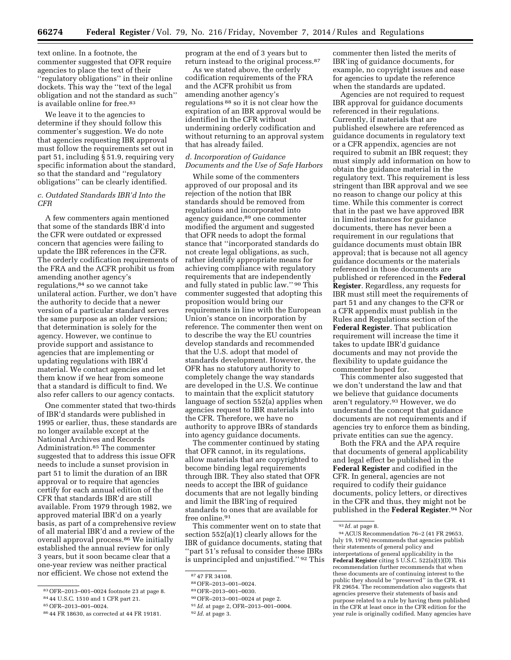text online. In a footnote, the commenter suggested that OFR require agencies to place the text of their ''regulatory obligations'' in their online dockets. This way the ''text of the legal obligation and not the standard as such'' is available online for free.<sup>83</sup>

We leave it to the agencies to determine if they should follow this commenter's suggestion. We do note that agencies requesting IBR approval must follow the requirements set out in part 51, including § 51.9, requiring very specific information about the standard, so that the standard and ''regulatory obligations'' can be clearly identified.

# *c. Outdated Standards IBR'd Into the CFR*

A few commenters again mentioned that some of the standards IBR'd into the CFR were outdated or expressed concern that agencies were failing to update the IBR references in the CFR. The orderly codification requirements of the FRA and the ACFR prohibit us from amending another agency's regulations,84 so we cannot take unilateral action. Further, we don't have the authority to decide that a newer version of a particular standard serves the same purpose as an older version; that determination is solely for the agency. However, we continue to provide support and assistance to agencies that are implementing or updating regulations with IBR'd material. We contact agencies and let them know if we hear from someone that a standard is difficult to find. We also refer callers to our agency contacts.

One commenter stated that two-thirds of IBR'd standards were published in 1995 or earlier, thus, these standards are no longer available except at the National Archives and Records Administration.85 The commenter suggested that to address this issue OFR needs to include a sunset provision in part 51 to limit the duration of an IBR approval or to require that agencies certify for each annual edition of the CFR that standards IBR'd are still available. From 1979 through 1982, we approved material IBR'd on a yearly basis, as part of a comprehensive review of all material IBR'd and a review of the overall approval process.86 We initially established the annual review for only 3 years, but it soon became clear that a one-year review was neither practical nor efficient. We chose not extend the

program at the end of 3 years but to return instead to the original process.87

As we stated above, the orderly codification requirements of the FRA and the ACFR prohibit us from amending another agency's regulations 88 so it is not clear how the expiration of an IBR approval would be identified in the CFR without undermining orderly codification and without returning to an approval system that has already failed.

# *d. Incorporation of Guidance Documents and the Use of Safe Harbors*

While some of the commenters approved of our proposal and its rejection of the notion that IBR standards should be removed from regulations and incorporated into agency guidance,89 one commenter modified the argument and suggested that OFR needs to adopt the formal stance that ''incorporated standards do not create legal obligations, as such, rather identify appropriate means for achieving compliance with regulatory requirements that are independently and fully stated in public law.'' 90 This commenter suggested that adopting this proposition would bring our requirements in line with the European Union's stance on incorporation by reference. The commenter then went on to describe the way the EU countries develop standards and recommended that the U.S. adopt that model of standards development. However, the OFR has no statutory authority to completely change the way standards are developed in the U.S. We continue to maintain that the explicit statutory language of section 552(a) applies when agencies request to IBR materials into the CFR. Therefore, we have no authority to approve IBRs of standards into agency guidance documents.

The commenter continued by stating that OFR cannot, in its regulations, allow materials that are copyrighted to become binding legal requirements through IBR. They also stated that OFR needs to accept the IBR of guidance documents that are not legally binding and limit the IBR'ing of required standards to ones that are available for free online.<sup>91</sup>

This commenter went on to state that section 552(a)(1) clearly allows for the IBR of guidance documents, stating that ''part 51's refusal to consider these IBRs is unprincipled and unjustified.'' 92 This

- 90OFR–2013–001–0024 at page 2.
- 91 *Id.* at page 2, OFR–2013–001–0004.

commenter then listed the merits of IBR'ing of guidance documents, for example, no copyright issues and ease for agencies to update the reference when the standards are updated.

Agencies are not required to request IBR approval for guidance documents referenced in their regulations. Currently, if materials that are published elsewhere are referenced as guidance documents in regulatory text or a CFR appendix, agencies are not required to submit an IBR request; they must simply add information on how to obtain the guidance material in the regulatory text. This requirement is less stringent than IBR approval and we see no reason to change our policy at this time. While this commenter is correct that in the past we have approved IBR in limited instances for guidance documents, there has never been a requirement in our regulations that guidance documents must obtain IBR approval; that is because not all agency guidance documents or the materials referenced in those documents are published or referenced in the **Federal Register**. Regardless, any requests for IBR must still meet the requirements of part 51 and any changes to the CFR or a CFR appendix must publish in the Rules and Regulations section of the **Federal Register**. That publication requirement will increase the time it takes to update IBR'd guidance documents and may not provide the flexibility to update guidance the commenter hoped for.

This commenter also suggested that we don't understand the law and that we believe that guidance documents aren't regulatory.93 However, we do understand the concept that guidance documents are not requirements and if agencies try to enforce them as binding, private entities can sue the agency.

Both the FRA and the APA require that documents of general applicability and legal effect be published in the **Federal Register** and codified in the CFR. In general, agencies are not required to codify their guidance documents, policy letters, or directives in the CFR and thus, they might not be published in the **Federal Register**.94 Nor

<sup>83</sup>OFR–2013–001–0024 footnote 23 at page 8.

<sup>84</sup> 44 U.S.C. 1510 and 1 CFR part 21.

<sup>85</sup>OFR–2013–001–0024.

<sup>86</sup> 44 FR 18630, as corrected at 44 FR 19181.

<sup>87</sup> 47 FR 34108.

<sup>88</sup>OFR–2013–001–0024.

<sup>89</sup>OFR–2013–001–0030.

<sup>92</sup> *Id.* at page 3.

<sup>93</sup> *Id.* at page 8.

<sup>94</sup>ACUS Recommendation 76–2 (41 FR 29653, July 19, 1976) recommends that agencies publish their statements of general policy and interpretations of general applicability in the **Federal Register** citing 5 U.S.C. 522(a)(1)(D). This recommendation further recommends that when these documents are of continuing interest to the public they should be ''preserved'' in the CFR. 41 FR 29654. The recommendation also suggests that agencies preserve their statements of basis and purpose related to a rule by having them published in the CFR at least once in the CFR edition for the year rule is originally codified. Many agencies have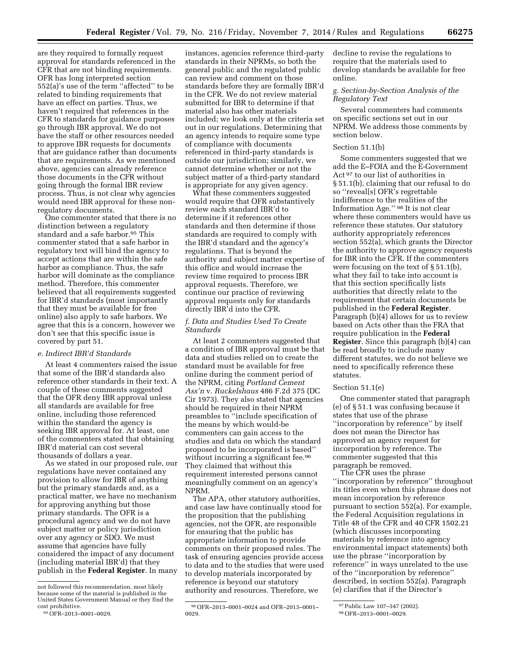are they required to formally request approval for standards referenced in the CFR that are not binding requirements. OFR has long interpreted section 552(a)'s use of the term ''affected'' to be related to binding requirements that have an effect on parties. Thus, we haven't required that references in the CFR to standards for guidance purposes go through IBR approval. We do not have the staff or other resources needed to approve IBR requests for documents that are guidance rather than documents that are requirements. As we mentioned above, agencies can already reference those documents in the CFR without going through the formal IBR review process. Thus, is not clear why agencies would need IBR approval for these nonregulatory documents.

One commenter stated that there is no distinction between a regulatory standard and a safe harbor.<sup>95</sup> This commenter stated that a safe harbor in regulatory text will bind the agency to accept actions that are within the safe harbor as compliance. Thus, the safe harbor will dominate as the compliance method. Therefore, this commenter believed that all requirements suggested for IBR'd standards (most importantly that they must be available for free online) also apply to safe harbors. We agree that this is a concern, however we don't see that this specific issue is covered by part 51.

#### *e. Indirect IBR'd Standards*

At least 4 commenters raised the issue that some of the IBR'd standards also reference other standards in their text. A couple of these comments suggested that the OFR deny IBR approval unless all standards are available for free online, including those referenced within the standard the agency is seeking IBR approval for. At least, one of the commenters stated that obtaining IBR'd material can cost several thousands of dollars a year.

As we stated in our proposed rule, our regulations have never contained any provision to allow for IBR of anything but the primary standards and, as a practical matter, we have no mechanism for approving anything but those primary standards. The OFR is a procedural agency and we do not have subject matter or policy jurisdiction over any agency or SDO. We must assume that agencies have fully considered the impact of any document (including material IBR'd) that they publish in the **Federal Register**. In many

instances, agencies reference third-party standards in their NPRMs, so both the general public and the regulated public can review and comment on those standards before they are formally IBR'd in the CFR. We do not review material submitted for IBR to determine if that material also has other materials included; we look only at the criteria set out in our regulations. Determining that an agency intends to require some type of compliance with documents referenced in third-party standards is outside our jurisdiction; similarly, we cannot determine whether or not the subject matter of a third-party standard is appropriate for any given agency.

What these commenters suggested would require that OFR substantively review each standard IBR'd to determine if it references other standards and then determine if those standards are required to comply with the IBR'd standard and the agency's regulations. That is beyond the authority and subject matter expertise of this office and would increase the review time required to process IBR approval requests. Therefore, we continue our practice of reviewing approval requests only for standards directly IBR'd into the CFR.

# *f. Data and Studies Used To Create Standards*

At least 2 commenters suggested that a condition of IBR approval must be that data and studies relied on to create the standard must be available for free online during the comment period of the NPRM, citing *Portland Cement Ass'n* v. *Ruckelshaus* 486 F.2d 375 (DC Cir 1973). They also stated that agencies should be required in their NPRM preambles to ''include specification of the means by which would-be commenters can gain access to the studies and data on which the standard proposed to be incorporated is based'' without incurring a significant fee.<sup>96</sup> They claimed that without this requirement interested persons cannot meaningfully comment on an agency's NPRM.

The APA, other statutory authorities, and case law have continually stood for the proposition that the publishing agencies, not the OFR, are responsible for ensuring that the public has appropriate information to provide comments on their proposed rules. The task of ensuring agencies provide access to data and to the studies that were used to develop materials incorporated by reference is beyond our statutory authority and resources. Therefore, we

decline to revise the regulations to require that the materials used to develop standards be available for free online.

# *g. Section-by-Section Analysis of the Regulatory Text*

Several commenters had comments on specific sections set out in our NPRM. We address those comments by section below.

# Section 51.1(b)

Some commenters suggested that we add the E–FOIA and the E-Government Act 97 to our list of authorities in § 51.1(b), claiming that our refusal to do so ''reveal[s] OFR's regrettable indifference to the realities of the Information Age.'' 98 It is not clear where these commenters would have us reference these statutes. Our statutory authority appropriately references section 552(a), which grants the Director the authority to approve agency requests for IBR into the CFR. If the commenters were focusing on the text of § 51.1(b), what they fail to take into account is that this section specifically lists authorities that directly relate to the requirement that certain documents be published in the **Federal Register**. Paragraph (b)(4) allows for us to review based on Acts other than the FRA that require publication in the **Federal Register**. Since this paragraph (b)(4) can be read broadly to include many different statutes, we do not believe we need to specifically reference these statutes.

#### Section 51.1(e)

One commenter stated that paragraph (e) of § 51.1 was confusing because it states that use of the phrase ''incorporation by reference'' by itself does not mean the Director has approved an agency request for incorporation by reference. The commenter suggested that this paragraph be removed.

The CFR uses the phrase ''incorporation by reference'' throughout its titles even when this phrase does not mean incorporation by reference pursuant to section 552(a). For example, the Federal Acquisition regulations in Title 48 of the CFR and 40 CFR 1502.21 (which discusses incorporating materials by reference into agency environmental impact statements) both use the phrase ''incorporation by reference'' in ways unrelated to the use of the ''incorporation by reference'' described, in section 552(a). Paragraph (e) clarifies that if the Director's

not followed this recommendation, most likely because some of the material is published in the United States Government Manual or they find the

<sup>95</sup> OFR-2013-0001-0029

<sup>96</sup>OFR–2013–0001–0024 and OFR–2013–0001– 0029.

<sup>97</sup>Public Law 107–347 (2002).

<sup>98</sup>OFR–2013–0001–0029.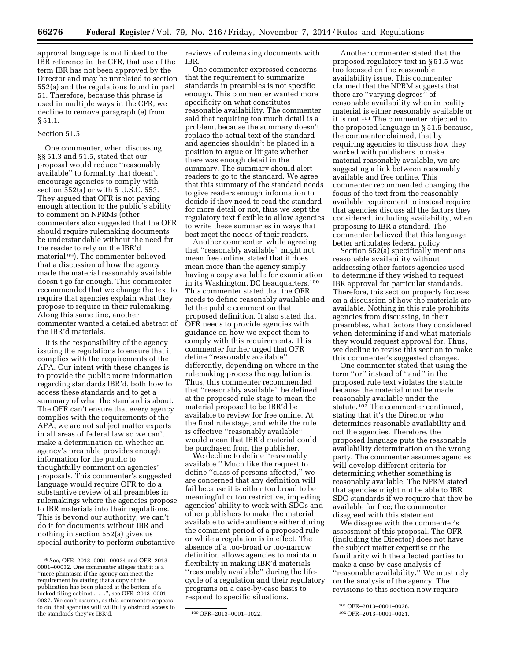approval language is not linked to the IBR reference in the CFR, that use of the term IBR has not been approved by the Director and may be unrelated to section 552(a) and the regulations found in part 51. Therefore, because this phrase is used in multiple ways in the CFR, we decline to remove paragraph (e) from § 51.1.

#### Section 51.5

One commenter, when discussing §§ 51.3 and 51.5, stated that our proposal would reduce ''reasonably available'' to formality that doesn't encourage agencies to comply with section 552(a) or with 5 U.S.C. 553. They argued that OFR is not paying enough attention to the public's ability to comment on NPRMs (other commenters also suggested that the OFR should require rulemaking documents be understandable without the need for the reader to rely on the IBR'd material 99). The commenter believed that a discussion of how the agency made the material reasonably available doesn't go far enough. This commenter recommended that we change the text to require that agencies explain what they propose to require in their rulemaking. Along this same line, another commenter wanted a detailed abstract of the IBR'd materials.

It is the responsibility of the agency issuing the regulations to ensure that it complies with the requirements of the APA. Our intent with these changes is to provide the public more information regarding standards IBR'd, both how to access these standards and to get a summary of what the standard is about. The OFR can't ensure that every agency complies with the requirements of the APA; we are not subject matter experts in all areas of federal law so we can't make a determination on whether an agency's preamble provides enough information for the public to thoughtfully comment on agencies' proposals. This commenter's suggested language would require OFR to do a substantive review of all preambles in rulemakings where the agencies propose to IBR materials into their regulations. This is beyond our authority; we can't do it for documents without IBR and nothing in section 552(a) gives us special authority to perform substantive

reviews of rulemaking documents with IBR.

One commenter expressed concerns that the requirement to summarize standards in preambles is not specific enough. This commenter wanted more specificity on what constitutes reasonable availability. The commenter said that requiring too much detail is a problem, because the summary doesn't replace the actual text of the standard and agencies shouldn't be placed in a position to argue or litigate whether there was enough detail in the summary. The summary should alert readers to go to the standard. We agree that this summary of the standard needs to give readers enough information to decide if they need to read the standard for more detail or not, thus we kept the regulatory text flexible to allow agencies to write these summaries in ways that best meet the needs of their readers.

Another commenter, while agreeing that ''reasonably available'' might not mean free online, stated that it does mean more than the agency simply having a copy available for examination in its Washington, DC headquarters.100 This commenter stated that the OFR needs to define reasonably available and let the public comment on that proposed definition. It also stated that OFR needs to provide agencies with guidance on how we expect them to comply with this requirements. This commenter further urged that OFR define ''reasonably available'' differently, depending on where in the rulemaking process the regulation is. Thus, this commenter recommended that ''reasonably available'' be defined at the proposed rule stage to mean the material proposed to be IBR'd be available to review for free online. At the final rule stage, and while the rule is effective ''reasonably available'' would mean that IBR'd material could be purchased from the publisher.

We decline to define ''reasonably available.'' Much like the request to define ''class of persons affected,'' we are concerned that any definition will fail because it is either too broad to be meaningful or too restrictive, impeding agencies' ability to work with SDOs and other publishers to make the material available to wide audience either during the comment period of a proposed rule or while a regulation is in effect. The absence of a too-broad or too-narrow definition allows agencies to maintain flexibility in making IBR'd materials ''reasonably available'' during the lifecycle of a regulation and their regulatory programs on a case-by-case basis to respond to specific situations.

Another commenter stated that the proposed regulatory text in § 51.5 was too focused on the reasonable availability issue. This commenter claimed that the NPRM suggests that there are ''varying degrees'' of reasonable availability when in reality material is either reasonably available or it is not.101 The commenter objected to the proposed language in § 51.5 because, the commenter claimed, that by requiring agencies to discuss how they worked with publishers to make material reasonably available, we are suggesting a link between reasonably available and free online. This commenter recommended changing the focus of the text from the reasonably available requirement to instead require that agencies discuss all the factors they considered, including availability, when proposing to IBR a standard. The commenter believed that this language better articulates federal policy.

Section 552(a) specifically mentions reasonable availability without addressing other factors agencies used to determine if they wished to request IBR approval for particular standards. Therefore, this section properly focuses on a discussion of how the materials are available. Nothing in this rule prohibits agencies from discussing, in their preambles, what factors they considered when determining if and what materials they would request approval for. Thus, we decline to revise this section to make this commenter's suggested changes.

One commenter stated that using the term ''or'' instead of ''and'' in the proposed rule text violates the statute because the material must be made reasonably available under the statute.<sup>102</sup> The commenter continued, stating that it's the Director who determines reasonable availability and not the agencies. Therefore, the proposed language puts the reasonable availability determination on the wrong party. The commenter assumes agencies will develop different criteria for determining whether something is reasonably available. The NPRM stated that agencies might not be able to IBR SDO standards if we require that they be available for free; the commenter disagreed with this statement.

We disagree with the commenter's assessment of this proposal. The OFR (including the Director) does not have the subject matter expertise or the familiarity with the affected parties to make a case-by-case analysis of ''reasonable availability.'' We must rely on the analysis of the agency. The revisions to this section now require

<sup>99</sup>See, OFR–2013–0001–00024 and OFR–2013– 0001–00032. One commenter alleges that it is a ''mere phantasm if the agency can meet the requirement by stating that a copy of the publication has been placed at the bottom of a locked filing cabinet . . .'', see OFR–2013–0001– 0037. We can't assume, as this commenter appears to do, that agencies will willfully obstruct access to the standards they've IBR'd. 100 OFR-2013-0001-0022.

<sup>101</sup>OFR–2013–0001–0026.

<sup>102</sup>OFR–2013–0001–0021.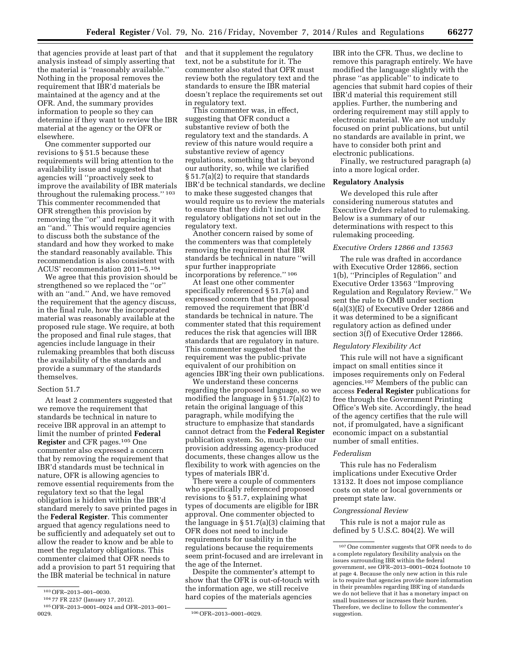that agencies provide at least part of that analysis instead of simply asserting that the material is ''reasonably available.'' Nothing in the proposal removes the requirement that IBR'd materials be maintained at the agency and at the OFR. And, the summary provides information to people so they can determine if they want to review the IBR material at the agency or the OFR or elsewhere.

One commenter supported our revisions to § 51.5 because these requirements will bring attention to the availability issue and suggested that agencies will ''proactively seek to improve the availability of IBR materials throughout the rulemaking process.'' 103 This commenter recommended that OFR strengthen this provision by removing the ''or'' and replacing it with an ''and.'' This would require agencies to discuss both the substance of the standard and how they worked to make the standard reasonably available. This recommendation is also consistent with ACUS' recommendation 2011–5.104

We agree that this provision should be strengthened so we replaced the ''or'' with an ''and.'' And, we have removed the requirement that the agency discuss, in the final rule, how the incorporated material was reasonably available at the proposed rule stage. We require, at both the proposed and final rule stages, that agencies include language in their rulemaking preambles that both discuss the availability of the standards and provide a summary of the standards themselves.

#### Section 51.7

At least 2 commenters suggested that we remove the requirement that standards be technical in nature to receive IBR approval in an attempt to limit the number of printed **Federal Register** and CFR pages.105 One commenter also expressed a concern that by removing the requirement that IBR'd standards must be technical in nature, OFR is allowing agencies to remove essential requirements from the regulatory text so that the legal obligation is hidden within the IBR'd standard merely to save printed pages in the **Federal Register**. This commenter argued that agency regulations need to be sufficiently and adequately set out to allow the reader to know and be able to meet the regulatory obligations. This commenter claimed that OFR needs to add a provision to part 51 requiring that the IBR material be technical in nature

and that it supplement the regulatory text, not be a substitute for it. The commenter also stated that OFR must review both the regulatory text and the standards to ensure the IBR material doesn't replace the requirements set out in regulatory text.

This commenter was, in effect, suggesting that OFR conduct a substantive review of both the regulatory text and the standards. A review of this nature would require a substantive review of agency regulations, something that is beyond our authority, so, while we clarified § 51.7(a)(2) to require that standards IBR'd be technical standards, we decline to make these suggested changes that would require us to review the materials to ensure that they didn't include regulatory obligations not set out in the regulatory text.

Another concern raised by some of the commenters was that completely removing the requirement that IBR standards be technical in nature ''will spur further inappropriate incorporations by reference.'' 106

At least one other commenter specifically referenced § 51.7(a) and expressed concern that the proposal removed the requirement that IBR'd standards be technical in nature. The commenter stated that this requirement reduces the risk that agencies will IBR standards that are regulatory in nature. This commenter suggested that the requirement was the public-private equivalent of our prohibition on agencies IBR'ing their own publications.

We understand these concerns regarding the proposed language, so we modified the language in § 51.7(a)(2) to retain the original language of this paragraph, while modifying the structure to emphasize that standards cannot detract from the **Federal Register**  publication system. So, much like our provision addressing agency-produced documents, these changes allow us the flexibility to work with agencies on the types of materials IBR'd.

There were a couple of commenters who specifically referenced proposed revisions to § 51.7, explaining what types of documents are eligible for IBR approval. One commenter objected to the language in  $\S 51.7(a)(3)$  claiming that OFR does not need to include requirements for usability in the regulations because the requirements seem print-focused and are irrelevant in the age of the Internet.

Despite the commenter's attempt to show that the OFR is out-of-touch with the information age, we still receive hard copies of the materials agencies

IBR into the CFR. Thus, we decline to remove this paragraph entirely. We have modified the language slightly with the phrase ''as applicable'' to indicate to agencies that submit hard copies of their IBR'd material this requirement still applies. Further, the numbering and ordering requirement may still apply to electronic material. We are not unduly focused on print publications, but until no standards are available in print, we have to consider both print and electronic publications.

Finally, we restructured paragraph (a) into a more logical order.

# **Regulatory Analysis**

We developed this rule after considering numerous statutes and Executive Orders related to rulemaking. Below is a summary of our determinations with respect to this rulemaking proceeding.

# *Executive Orders 12866 and 13563*

The rule was drafted in accordance with Executive Order 12866, section 1(b), ''Principles of Regulation'' and Executive Order 13563 ''Improving Regulation and Regulatory Review.'' We sent the rule to OMB under section 6(a)(3)(E) of Executive Order 12866 and it was determined to be a significant regulatory action as defined under section 3(f) of Executive Order 12866.

### *Regulatory Flexibility Act*

This rule will not have a significant impact on small entities since it imposes requirements only on Federal agencies.107 Members of the public can access **Federal Register** publications for free through the Government Printing Office's Web site. Accordingly, the head of the agency certifies that the rule will not, if promulgated, have a significant economic impact on a substantial number of small entities.

# *Federalism*

This rule has no Federalism implications under Executive Order 13132. It does not impose compliance costs on state or local governments or preempt state law.

#### *Congressional Review*

This rule is not a major rule as defined by 5 U.S.C. 804(2). We will

<sup>103</sup>OFR–2013–001–0030.

<sup>104</sup> 77 FR 2257 (January 17, 2012).

<sup>&</sup>lt;sup>105</sup> OFR–2013–0001–0024 and OFR–2013–001–0029.

<sup>106</sup> OFR-2013-0001-0029.

<sup>107</sup>One commenter suggests that OFR needs to do a complete regulatory flexibility analysis on the issues surrounding IBR within the federal government, see OFR–2013–0001–0024 footnote 10 at page 4. Because the only new action in this rule is to require that agencies provide more information in their preambles regarding IBR'ing of standards we do not believe that it has a monetary impact on small businesses or increases their burden. Therefore, we decline to follow the commenter's suggestion.